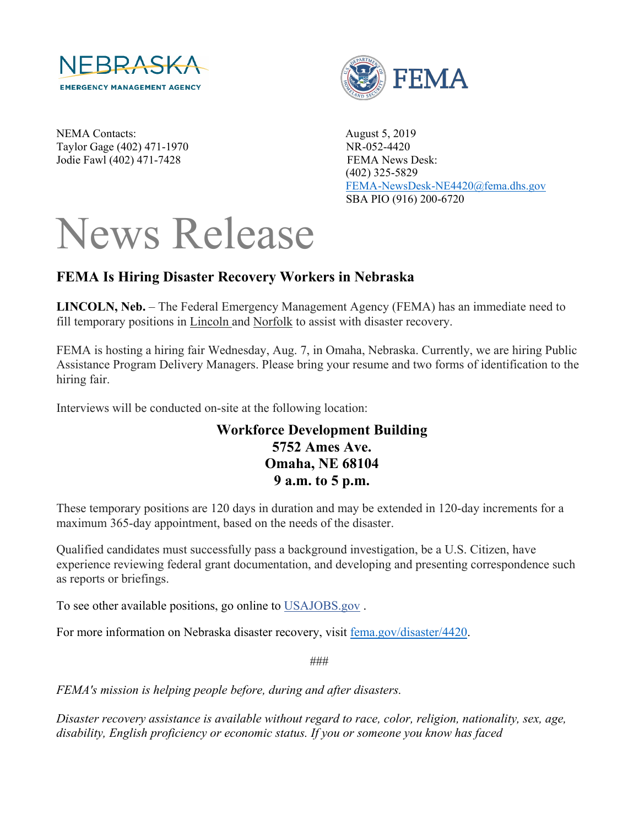

NEMA Contacts: August 5, 2019 Taylor Gage (402) 471-1970 NR-052-4420 Jodie Fawl (402) 471-7428 FEMA News Desk:



 (402) 325-5829 [FEMA-NewsDesk-NE4420@fema.dhs.gov](mailto:FEMA-NewsDesk-NE4420@fema.dhs.gov) SBA PIO (916) 200-6720

## News Release

## **FEMA Is Hiring Disaster Recovery Workers in Nebraska**

**LINCOLN, Neb.** – The Federal Emergency Management Agency (FEMA) has an immediate need to fill temporary positions in Lincoln and Norfolk to assist with disaster recovery.

FEMA is hosting a hiring fair Wednesday, Aug. 7, in Omaha, Nebraska. Currently, we are hiring Public Assistance Program Delivery Managers. Please bring your resume and two forms of identification to the hiring fair.

Interviews will be conducted on-site at the following location:

## **Workforce Development Building 5752 Ames Ave. Omaha, NE 68104 9 a.m. to 5 p.m.**

These temporary positions are 120 days in duration and may be extended in 120-day increments for a maximum 365-day appointment, based on the needs of the disaster.

Qualified candidates must successfully pass a background investigation, be a U.S. Citizen, have experience reviewing federal grant documentation, and developing and presenting correspondence such as reports or briefings.

To see other available positions, go online to [USAJOBS.gov](http://www.usajobs.gov/) .

For more information on Nebraska disaster recovery, visit [fema.gov/disaster/4420.](http://www.fema.gov/disaster/4420)

###

*FEMA's mission is helping people before, during and after disasters.*

*Disaster recovery assistance is available without regard to race, color, religion, nationality, sex, age, disability, English proficiency or economic status. If you or someone you know has faced*